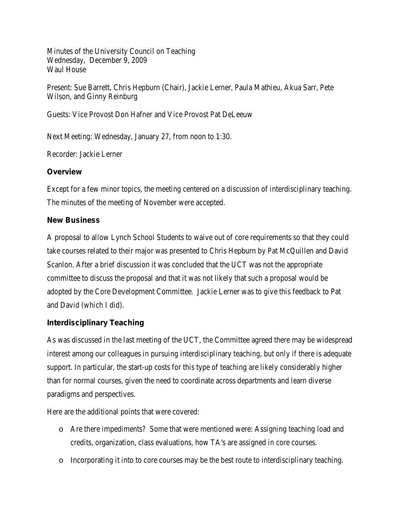Minutes of the University Council on Teaching Wednesday, December 9, 2009 Waul House

Present: Sue Barrett, Chris Hepburn (Chair), Jackie Lerner, Paula Mathieu, Akua Sarr, Pete Wilson, and Ginny Reinburg

Guests: Vice Provost Don Hafner and Vice Provost Pat DeLeeuw

Next Meeting: Wednesday, January 27, from noon to 1:30.

Recorder: Jackie Lerner

## **Overview**

Except for a few minor topics, the meeting centered on a discussion of interdisciplinary teaching. The minutes of the meeting of November were accepted.

## **New Business**

A proposal to allow Lynch School Students to waive out of core requirements so that they could take courses related to their major was presented to Chris Hepburn by Pat McQuillen and David Scanlon. After a brief discussion it was concluded that the UCT was not the appropriate committee to discuss the proposal and that it was not likely that such a proposal would be adopted by the Core Development Committee. Jackie Lerner was to give this feedback to Pat and David (which I did).

## **Interdisciplinary Teaching**

As was discussed in the last meeting of the UCT, the Committee agreed there may be widespread interest among our colleagues in pursuing interdisciplinary teaching, but only if there is adequate support. In particular, the start-up costs for this type of teaching are likely considerably higher than for normal courses, given the need to coordinate across departments and learn diverse paradigms and perspectives.

Here are the additional points that were covered:

- o Are there impediments? Some that were mentioned were: Assigning teaching load and credits, organization, class evaluations, how TA's are assigned in core courses.
- o Incorporating it into to core courses may be the best route to interdisciplinary teaching.